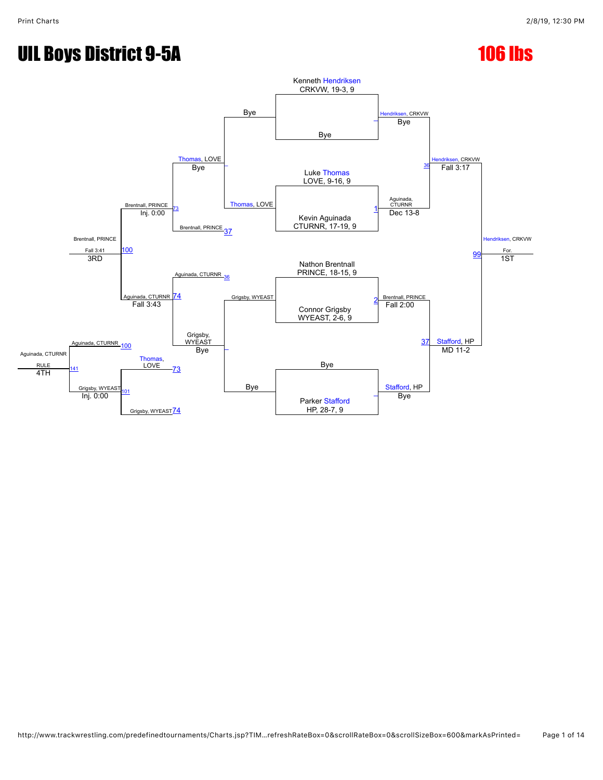# UIL Boys District 9-5A 106 105

#### Bye Kenneth [Hendriksen](javascript:viewProfile(484701009)) CRKVW, 19-3, 9 l, CRKVW en, CRKVW endriksen, CRKVW For. e between the contractors of the Bye Bye  $\frac{Dyc}{T}$   $-$ [Thomas](javascript:viewProfile(928987132)), LOVE [\\_](javascript:openBoutSheet(6,) [Thomas,](javascript:viewProfile(928987132)) LOVE Bye Brentnall, PRINCE Luke [Thomas](javascript:viewProfile(928987132)) LOVE, 9-16, 9 Brentnall, PRINCE Fall 3:41 Bye Aguinada, CTURNR **Fall 3:17** [73](javascript:openBoutSheet(9,) Brentnall, PRINCE [37](javascript:openBoutSheet(7,) Kevin Aguinada CTURNR, 17-19, 9 [1](javascript:openBoutSheet(2,) [100](javascript:openBoutSheet(12,) Inj. 0:00 Dec 13-8 **[99](javascript:openBoutSheet(11,)** Aguinada, CTURNR<sub>\_[36](javascript:openBoutSheet(5,)</sub> Nathon Brentnall PRINCE, 18-15, 9 3RD Aguinada, CTURNR Grigsby, WYEAST BRINCE 1ST [74](javascript:openBoutSheet(10,) Connor Grigsby WYEAST, 2-6, 9 [2](javascript:openBoutSheet(3,) Aguinada, CTURNR [100](javascript:openBoutSheet(12,) Fall 3:43 Grigsby,<br>WYEAST Bye Fall 2:00 [37](javascript:openBoutSheet(7,) [Stafford](javascript:viewProfile(226448096)), HP Aguinada, CTURNR RULE [Thomas,](javascript:viewProfile(928987132))<br>LOVE <u>LOVE 73</u> Rye Grigsby, WYEAST [\\_](javascript:openBoutSheet(4,) Inj. 0:00 [73](javascript:openBoutSheet(9,) Bye [Stafford,](javascript:viewProfile(226448096)) HP MD 11-2 4TH [101](javascript:openBoutSheet(13,) Grigsby, WYEAST<sup>[74](javascript:openBoutSheet(10,)</sup> Parker [Stafford](javascript:viewProfile(226448096)) HP, 28-7, 9 **Bye**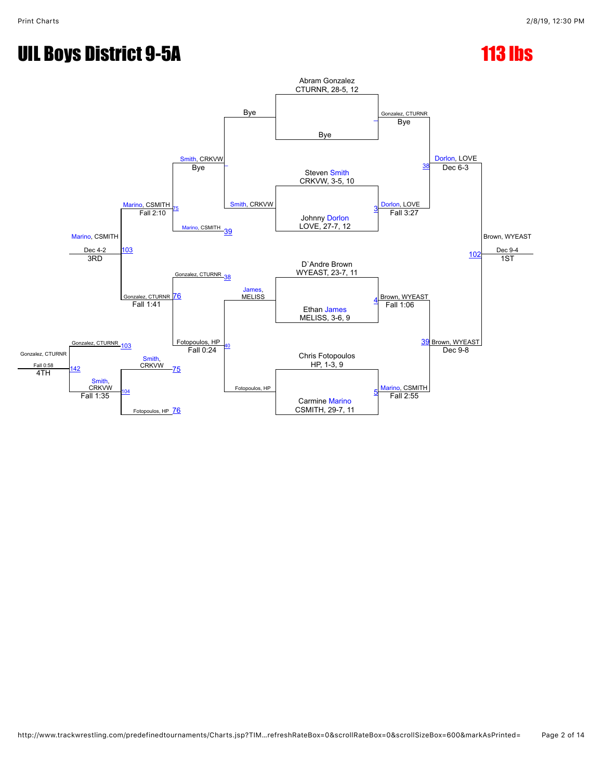# UIL Boys District 9-5A 113 lbs

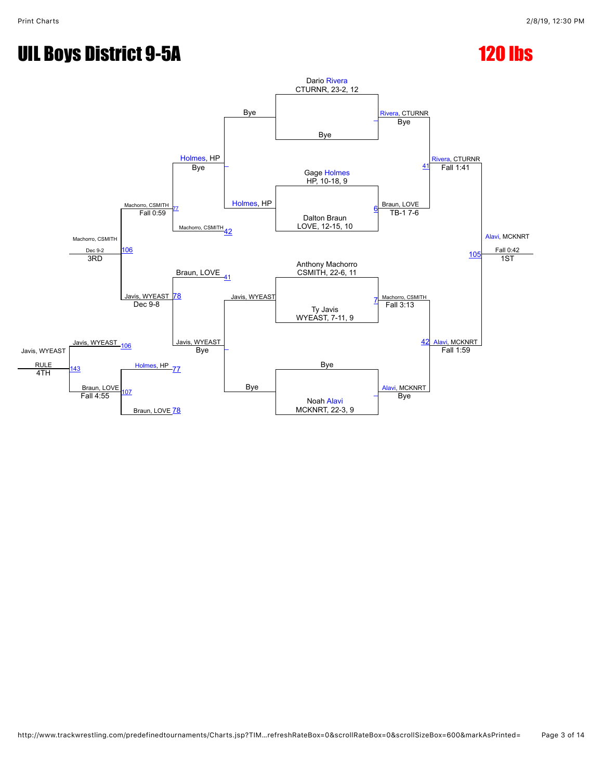## UIL Boys District 9-5A 120 lbs

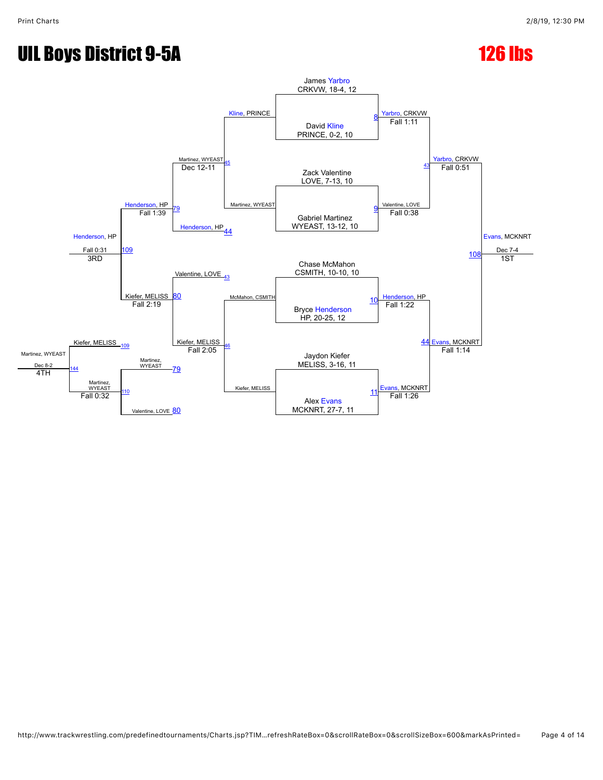# UIL Boys District 9-5A 126 lbs

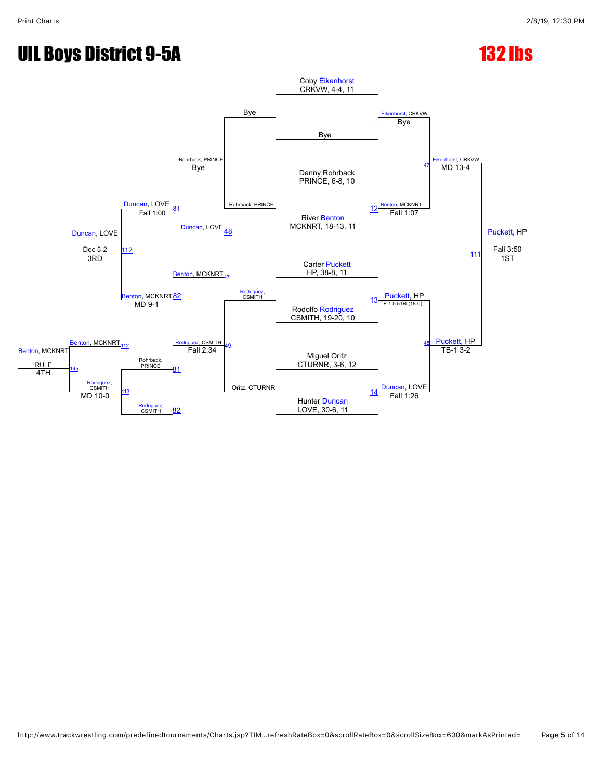# UIL Boys District 9-5A 132 lbs

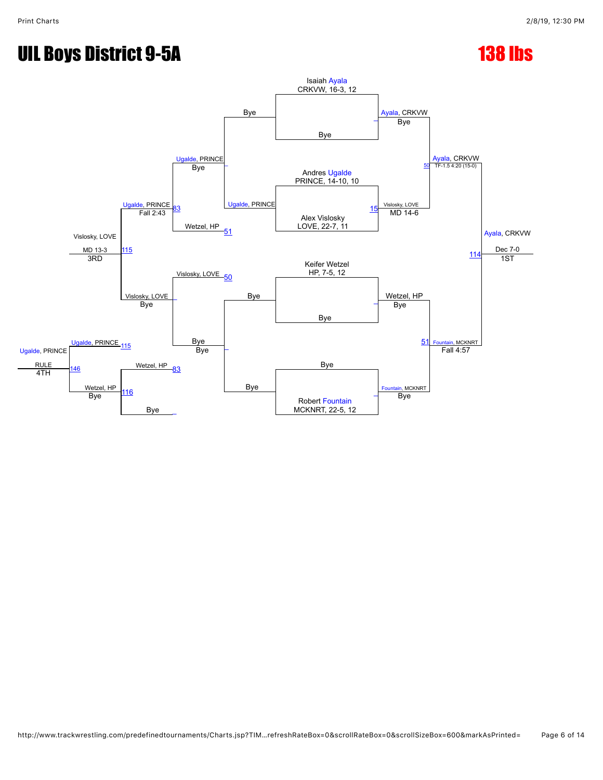# UIL Boys District 9-5A 138 lbs

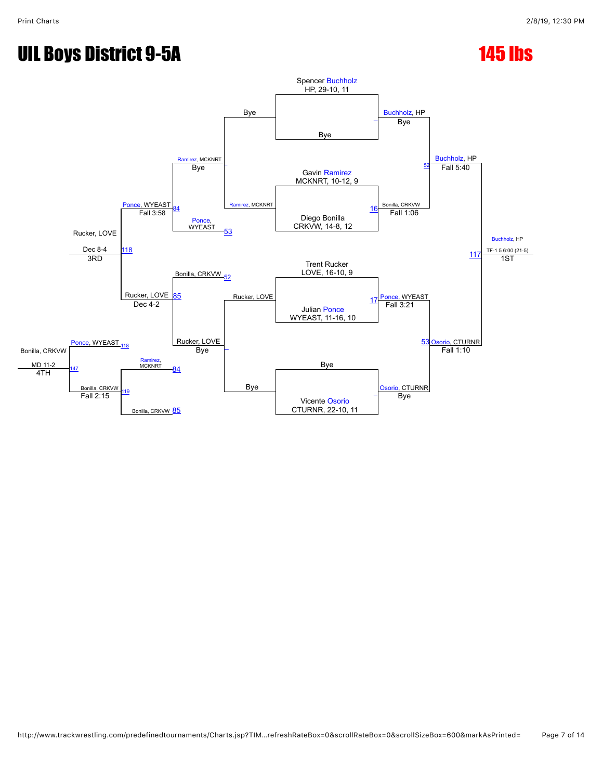# UIL Boys District 9-5A 145 lbs

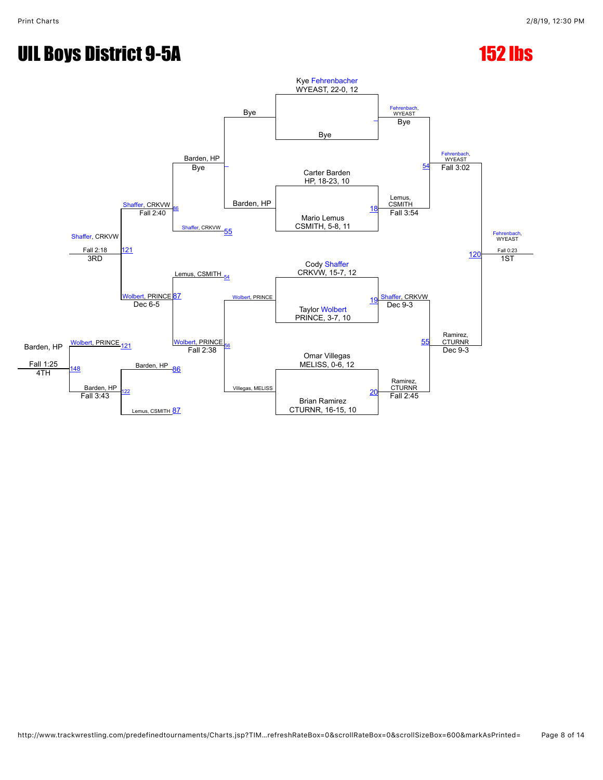# UIL Boys District 9-5A 152 lbs

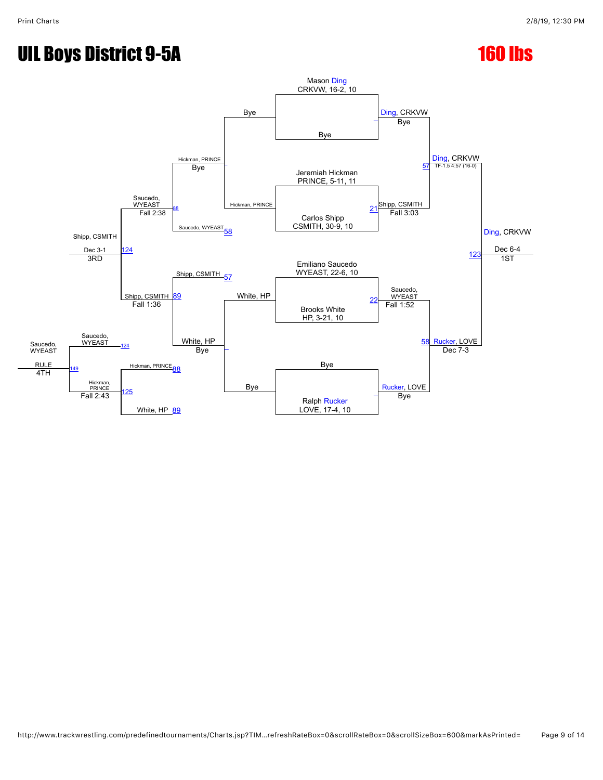## UIL Boys District 9-5A 160 lbs

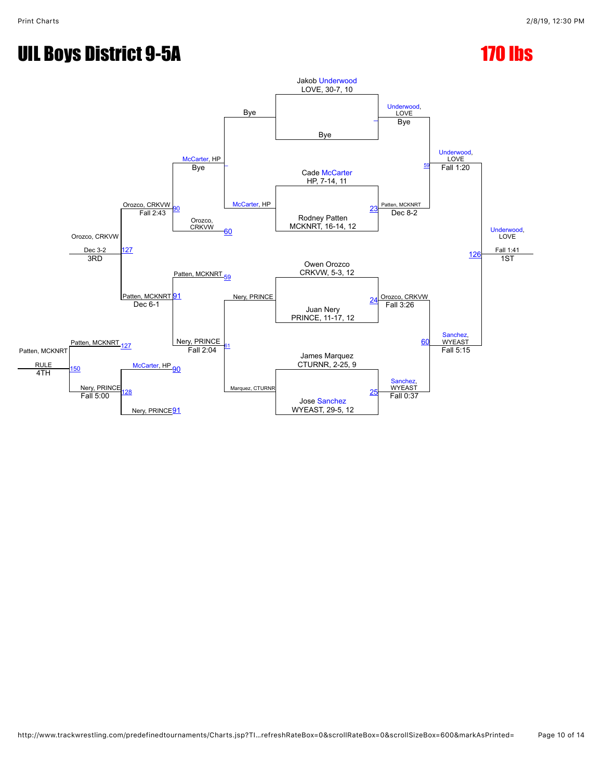# UIL Boys District 9-5A 170 lbs

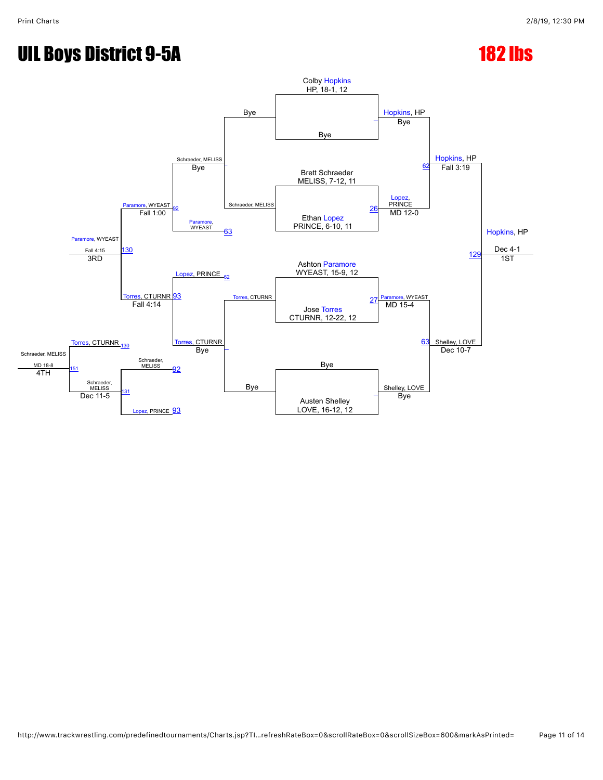# UIL Boys District 9-5A 182 lbs

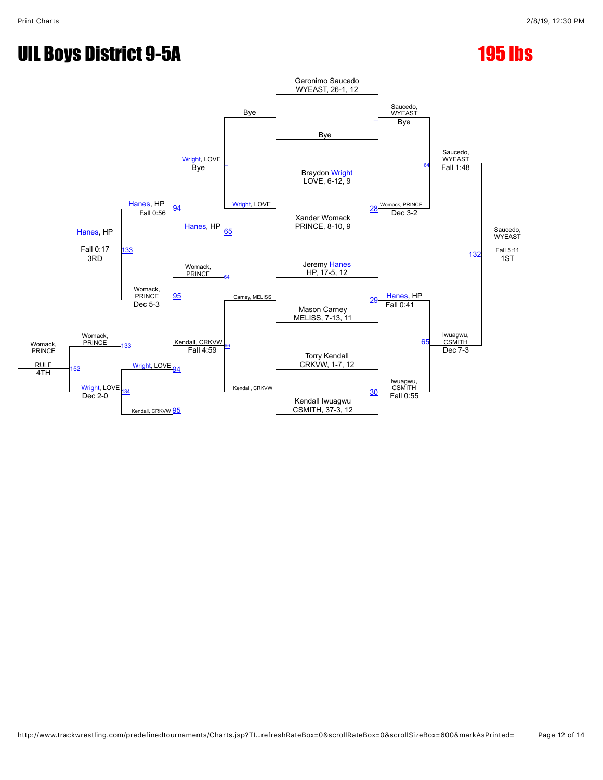# UIL Boys District 9-5A 195 lbs

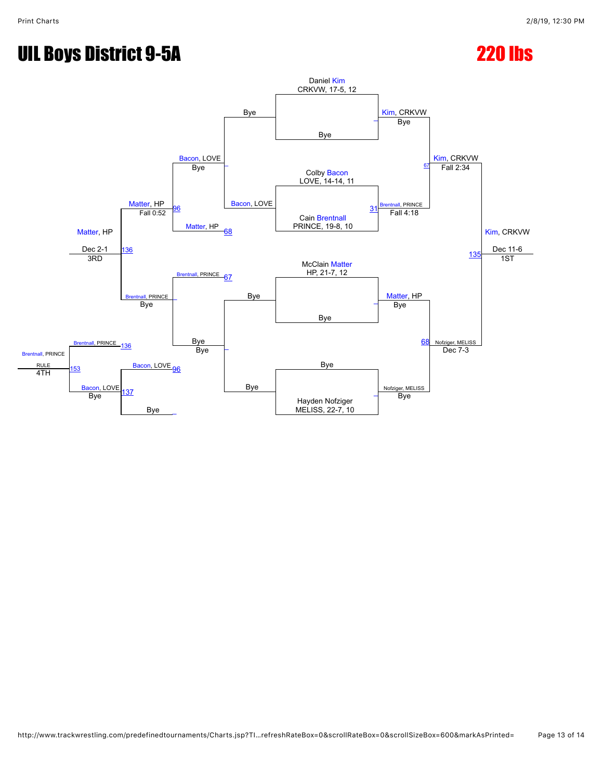# UIL Boys District 9-5A 220 lbs